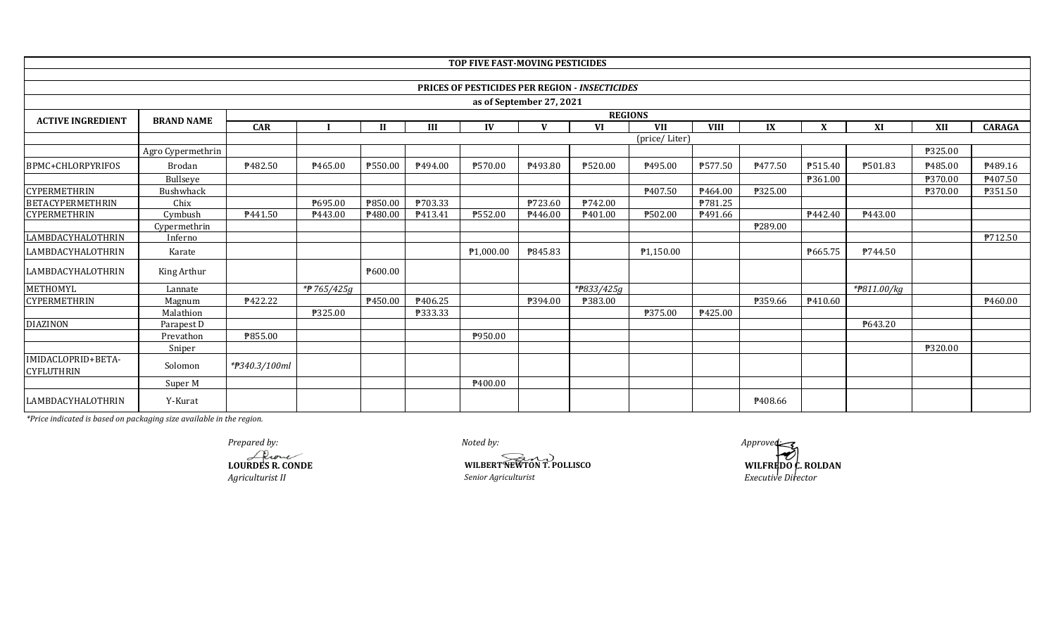|                                         |                   |                     |            |         |         | TOP FIVE FAST-MOVING PESTICIDES |                          |                                                       |                |             |         |         |                        |         |                |
|-----------------------------------------|-------------------|---------------------|------------|---------|---------|---------------------------------|--------------------------|-------------------------------------------------------|----------------|-------------|---------|---------|------------------------|---------|----------------|
|                                         |                   |                     |            |         |         |                                 |                          |                                                       |                |             |         |         |                        |         |                |
|                                         |                   |                     |            |         |         |                                 |                          | <b>PRICES OF PESTICIDES PER REGION - INSECTICIDES</b> |                |             |         |         |                        |         |                |
|                                         |                   |                     |            |         |         |                                 | as of September 27, 2021 |                                                       |                |             |         |         |                        |         |                |
| <b>ACTIVE INGREDIENT</b>                | <b>BRAND NAME</b> |                     |            |         |         |                                 |                          |                                                       | <b>REGIONS</b> |             |         |         |                        |         |                |
|                                         |                   | <b>CAR</b>          |            |         | III     | IV                              | $\mathbf{V}$             | <b>VI</b>                                             | <b>VII</b>     | <b>VIII</b> | IX      | X       | XI                     | XII     | <b>CARAGA</b>  |
|                                         |                   |                     |            |         |         |                                 |                          |                                                       | (price/Liter)  |             |         |         |                        |         |                |
|                                         | Agro Cypermethrin |                     |            |         |         |                                 |                          |                                                       |                |             |         |         |                        | ₱325.00 |                |
| BPMC+CHLORPYRIFOS                       | <b>Brodan</b>     | P <sub>482.50</sub> | ₱465.00    | ₱550.00 | P494.00 | ₱570.00                         | P493.80                  | ₱520.00                                               | P495.00        | ₱577.50     | P477.50 | P515.40 | ₱501.83                | P485.00 | P489.16        |
|                                         | Bullseye          |                     |            |         |         |                                 |                          |                                                       |                |             |         | P361.00 |                        | ₱370.00 | ₱407.50        |
| <b>CYPERMETHRIN</b>                     | Bushwhack         |                     |            |         |         |                                 |                          |                                                       | P407.50        | P464.00     | ₱325.00 |         |                        | ₱370.00 | P351.50        |
| <b>BETACYPERMETHRIN</b>                 | Chix              |                     | ₱695.00    | ₱850.00 | P703.33 |                                 | ₱723.60                  | ₱742.00                                               |                | P781.25     |         |         |                        |         |                |
| <b>CYPERMETHRIN</b>                     | Cymbush           | P441.50             | P443.00    | P480.00 | P413.41 | ₱552.00                         | P446.00                  | P401.00                                               | ₱502.00        | P491.66     |         | P442.40 | P443.00                |         |                |
|                                         | Cypermethrin      |                     |            |         |         |                                 |                          |                                                       |                |             | ₱289.00 |         |                        |         |                |
| LAMBDACYHALOTHRIN                       | Inferno           |                     |            |         |         |                                 |                          |                                                       |                |             |         |         |                        |         | <b>P712.50</b> |
| LAMBDACYHALOTHRIN                       | Karate            |                     |            |         |         | P1,000.00                       | P845.83                  |                                                       | P1,150.00      |             |         | P665.75 | P744.50                |         |                |
| <b>LAMBDACYHALOTHRIN</b>                | King Arthur       |                     |            | ₱600.00 |         |                                 |                          |                                                       |                |             |         |         |                        |         |                |
| <b>METHOMYL</b>                         | Lannate           |                     | *#765/425g |         |         |                                 |                          | *#833/425g                                            |                |             |         |         | $*$ <b>P</b> 811.00/kg |         |                |
| <b>CYPERMETHRIN</b>                     | Magnum            | ₱422.22             |            | P450.00 | ₱406.25 |                                 | ₱394.00                  | ₱383.00                                               |                |             | ₱359.66 | P410.60 |                        |         | ₱460.00        |
|                                         | Malathion         |                     | ₱325.00    |         | ₱333.33 |                                 |                          |                                                       | ₱375.00        | ₱425.00     |         |         |                        |         |                |
| <b>DIAZINON</b>                         | Parapest D        |                     |            |         |         |                                 |                          |                                                       |                |             |         |         | ₱643.20                |         |                |
|                                         | Prevathon         | ₱855.00             |            |         |         | ₱950.00                         |                          |                                                       |                |             |         |         |                        |         |                |
|                                         | Sniper            |                     |            |         |         |                                 |                          |                                                       |                |             |         |         |                        | ₱320.00 |                |
| IMIDACLOPRID+BETA-<br><b>CYFLUTHRIN</b> | Solomon           | *#340.3/100ml       |            |         |         |                                 |                          |                                                       |                |             |         |         |                        |         |                |
|                                         | Super M           |                     |            |         |         | ₱400.00                         |                          |                                                       |                |             |         |         |                        |         |                |
| LAMBDACYHALOTHRIN                       | Y-Kurat           |                     |            |         |         |                                 |                          |                                                       |                |             | P408.66 |         |                        |         |                |

**LOURDES R. CONDE** *Agriculturist II Prepared by: Approved:*

*Noted by:*

**WILBERT NEWTON T. POLLISCO**<br> *Senior Agriculturist* 

**Senior Agriculturistic** *Executive Director*<br>*Executive Director*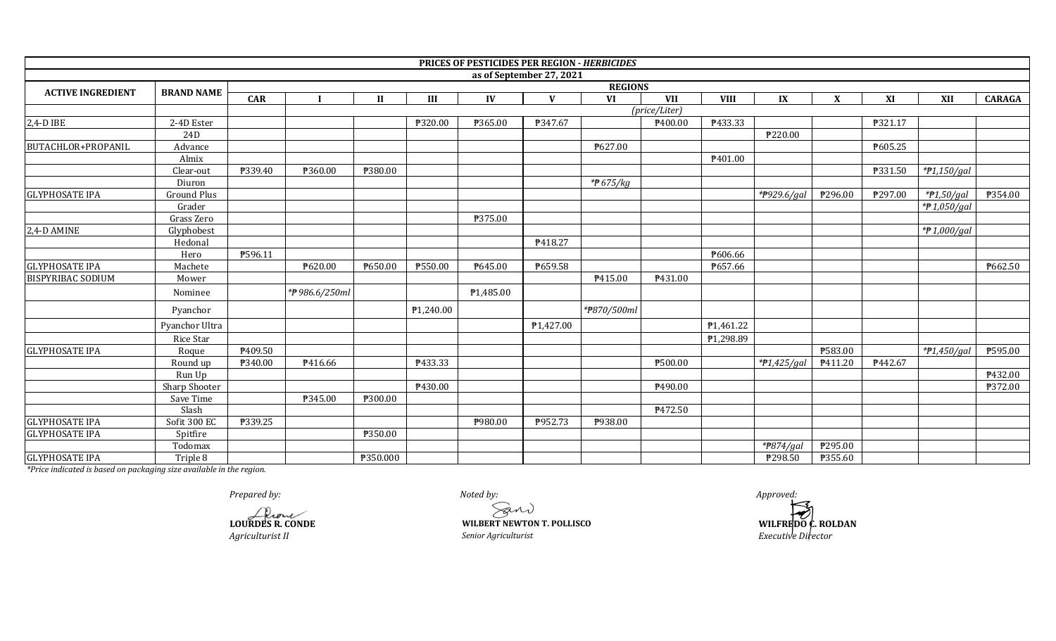|                          |                   |            |               |              |           |           |                          | PRICES OF PESTICIDES PER REGION - HERBICIDES |               |                |             |                |         |               |               |
|--------------------------|-------------------|------------|---------------|--------------|-----------|-----------|--------------------------|----------------------------------------------|---------------|----------------|-------------|----------------|---------|---------------|---------------|
|                          |                   |            |               |              |           |           | as of September 27, 2021 |                                              |               |                |             |                |         |               |               |
| <b>ACTIVE INGREDIENT</b> | <b>BRAND NAME</b> |            |               |              |           |           |                          | <b>REGIONS</b>                               |               |                |             |                |         |               |               |
|                          |                   | <b>CAR</b> |               | $\mathbf{I}$ | III       | IV        | $\mathbf{V}$             | VI                                           | <b>VII</b>    | <b>VIII</b>    | IX          | X              | XI      | XII           | <b>CARAGA</b> |
|                          |                   |            |               |              |           |           |                          |                                              | (price/Liter) |                |             |                |         |               |               |
| 2,4-D IBE                | 2-4D Ester        |            |               |              | ₱320.00   | ₱365.00   | P347.67                  |                                              | P400.00       | ₱433.33        |             |                | ₱321.17 |               |               |
|                          | 24 <sub>D</sub>   |            |               |              |           |           |                          |                                              |               |                | ₱220.00     |                |         |               |               |
| BUTACHLOR+PROPANIL       | Advance           |            |               |              |           |           |                          | ₱627.00                                      |               |                |             |                | ₱605.25 |               |               |
|                          | Almix             |            |               |              |           |           |                          |                                              |               | P401.00        |             |                |         |               |               |
|                          | Clear-out         | ₱339.40    | ₱360.00       | ₱380.00      |           |           |                          |                                              |               |                |             |                | ₱331.50 | $*P1,150/gal$ |               |
|                          | Diuron            |            |               |              |           |           |                          | * $#675/kg$                                  |               |                |             |                |         |               |               |
| <b>GLYPHOSATE IPA</b>    | Ground Plus       |            |               |              |           |           |                          |                                              |               |                | *P929.6/gal | ₱296.00        | ₱297.00 | $*P1,50/gal$  | P354.00       |
|                          | Grader            |            |               |              |           |           |                          |                                              |               |                |             |                |         | *P1,050/gal   |               |
|                          | Grass Zero        |            |               |              |           | ₱375.00   |                          |                                              |               |                |             |                |         |               |               |
| 2,4-D AMINE              | Glyphobest        |            |               |              |           |           |                          |                                              |               |                |             |                |         | *#1,000/gal   |               |
|                          | Hedonal           |            |               |              |           |           | P418.27                  |                                              |               |                |             |                |         |               |               |
|                          | Hero              | P596.11    |               |              |           |           |                          |                                              |               | <b>\606.66</b> |             |                |         |               |               |
| <b>GLYPHOSATE IPA</b>    | Machete           |            | P620.00       | P650.00      | P550.00   | P645.00   | ₱659.58                  |                                              |               | ₱657.66        |             |                |         |               | ₱662.50       |
| <b>BISPYRIBAC SODIUM</b> | Mower             |            |               |              |           |           |                          | P415.00                                      | P431.00       |                |             |                |         |               |               |
|                          | Nominee           |            | *#986.6/250ml |              |           | P1,485.00 |                          |                                              |               |                |             |                |         |               |               |
|                          | Pyanchor          |            |               |              | ₱1,240.00 |           |                          | *#870/500ml                                  |               |                |             |                |         |               |               |
|                          | Pyanchor Ultra    |            |               |              |           |           | ₱1,427.00                |                                              |               | P1,461.22      |             |                |         |               |               |
|                          | Rice Star         |            |               |              |           |           |                          |                                              |               | P1,298.89      |             |                |         |               |               |
| <b>GLYPHOSATE IPA</b>    | Roque             | P409.50    |               |              |           |           |                          |                                              |               |                |             | ₱583.00        |         | *#1,450/gal   | ₱595.00       |
|                          | Round up          | ₱340.00    | P416.66       |              | P433.33   |           |                          |                                              | ₱500.00       |                | *P1,425/gai | P411.20        | P442.67 |               |               |
|                          | Run Up            |            |               |              |           |           |                          |                                              |               |                |             |                |         |               | ₱432.00       |
|                          | Sharp Shooter     |            |               |              | P430.00   |           |                          |                                              | P490.00       |                |             |                |         |               | ₱372.00       |
|                          | Save Time         |            | P345.00       | ₱300.00      |           |           |                          |                                              |               |                |             |                |         |               |               |
|                          | Slash             |            |               |              |           |           |                          |                                              | P472.50       |                |             |                |         |               |               |
| <b>GLYPHOSATE IPA</b>    | Sofit 300 EC      | ₱339.25    |               |              |           | P980.00   | P952.73                  | P938.00                                      |               |                |             |                |         |               |               |
| <b>GLYPHOSATE IPA</b>    | Spitfire          |            |               | ₱350.00      |           |           |                          |                                              |               |                |             |                |         |               |               |
|                          | Todomax           |            |               |              |           |           |                          |                                              |               |                | * $P874/ga$ | ₱295.00        |         |               |               |
| <b>GLYPHOSATE IPA</b>    | Triple 8          |            |               | ₱350.000     |           |           |                          |                                              |               |                | ₱298.50     | <b>P355.60</b> |         |               |               |

*Prepared by: Approved:*

**LOURDES R. CONDE**

*Agriculturist II*

*Noted by:*

 *Senior Agriculturist*   **WILBERT NEWTON T. POLLISCO** 

 *Executive Director*   **WILFREDO C. ROLDAN**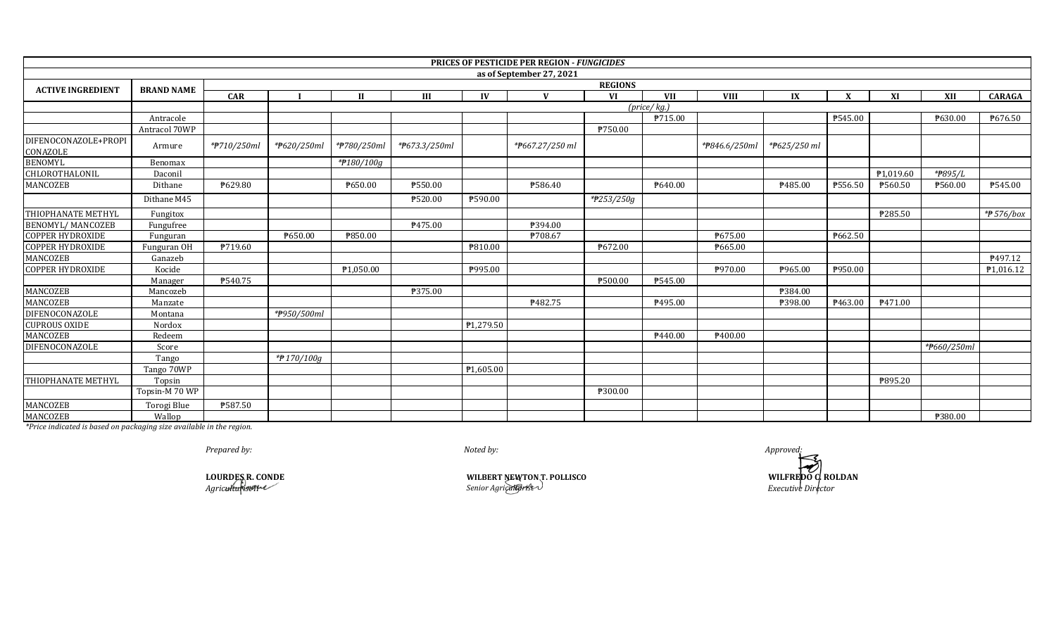|                                  |                     |             |                |                |               |                       | PRICES OF PESTICIDE PER REGION - FUNGICIDES |            |                            |                            |                           |              |                       |             |                |  |
|----------------------------------|---------------------|-------------|----------------|----------------|---------------|-----------------------|---------------------------------------------|------------|----------------------------|----------------------------|---------------------------|--------------|-----------------------|-------------|----------------|--|
|                                  |                     |             |                |                |               |                       | as of September 27, 2021                    |            |                            |                            |                           |              |                       |             |                |  |
| <b>ACTIVE INGREDIENT</b>         | <b>BRAND NAME</b>   |             | <b>REGIONS</b> |                |               |                       |                                             |            |                            |                            |                           |              |                       |             |                |  |
|                                  |                     | <b>CAR</b>  |                | $\mathbf{H}$   | III           | IV                    | $\mathbf{V}$                                | VI         | <b>VII</b>                 | <b>VIII</b>                | IX                        | $\mathbf{x}$ | XI                    | XII         | <b>CARAGA</b>  |  |
|                                  |                     |             |                |                |               |                       |                                             |            | $(\text{price}/\text{kg})$ |                            |                           |              |                       |             |                |  |
|                                  | Antracole           |             |                |                |               |                       |                                             |            | ₱715.00                    |                            |                           | ₱545.00      |                       | P630.00     | ₱676.50        |  |
|                                  | Antracol 70WP       |             |                |                |               |                       |                                             | ₱750.00    |                            |                            |                           |              |                       |             |                |  |
| DIFENOCONAZOLE+PROPI<br>CONAZOLE | Armure              | *#710/250ml | *P620/250ml    | *#780/250ml    | *#673.3/250ml |                       | *#667.27/250 ml                             |            |                            | * <del>P</del> 846.6/250ml | * <del>P</del> 625/250 ml |              |                       |             |                |  |
| <b>BENOMYL</b>                   | Benomax             |             |                | *#180/100g     |               |                       |                                             |            |                            |                            |                           |              |                       |             |                |  |
| CHLOROTHALONIL                   | Daconil             |             |                |                |               |                       |                                             |            |                            |                            |                           |              | P <sub>1.019.60</sub> | *#895/L     |                |  |
| MANCOZEB                         | Dithane             | P629.80     |                | P650.00        | ₱550.00       |                       | ₱586.40                                     |            | ₱640.00                    |                            | P485.00                   | ₱556.50      | ₱560.50               | ₱560.00     | ₱545.00        |  |
|                                  | Dithane M45         |             |                |                | ₱520.00       | ₱590.00               |                                             | *#253/250g |                            |                            |                           |              |                       |             |                |  |
| THIOPHANATE METHYL               | Fungitox            |             |                |                |               |                       |                                             |            |                            |                            |                           |              | ₱285.50               |             | *# 576/box     |  |
| <b>BENOMYL/MANCOZEB</b>          | Fungufree           |             |                |                | P475.00       |                       | F394.00                                     |            |                            |                            |                           |              |                       |             |                |  |
| <b>COPPER HYDROXIDE</b>          | Funguran            |             | ₱650.00        | <b>P850.00</b> |               |                       | ₱708.67                                     |            |                            | ₱675.00                    |                           | ₱662.50      |                       |             |                |  |
| <b>COPPER HYDROXIDE</b>          | Funguran OH         | P719.60     |                |                |               | ₱810.00               |                                             | ₱672.00    |                            | ₱665.00                    |                           |              |                       |             |                |  |
| MANCOZEB                         | Ganazeb             |             |                |                |               |                       |                                             |            |                            |                            |                           |              |                       |             | <b>₱497.12</b> |  |
| <b>COPPER HYDROXIDE</b>          | Kocide              |             |                | P1.050.00      |               | P995.00               |                                             |            |                            | P970.00                    | ₱965.00                   | ₱950.00      |                       |             | P1,016.12      |  |
|                                  | Manager             | P540.75     |                |                |               |                       |                                             | ₱500.00    | P545.00                    |                            |                           |              |                       |             |                |  |
| MANCOZEB                         | Mancozeb            |             |                |                | ₱375.00       |                       |                                             |            |                            |                            | ₱384.00                   |              |                       |             |                |  |
| MANCOZEB                         | Manzate             |             |                |                |               |                       | P482.75                                     |            | P495.00                    |                            | ₱398.00                   | ₱463.00      | P471.00               |             |                |  |
| DIFENOCONAZOLE                   | Montana             |             | *#950/500ml    |                |               |                       |                                             |            |                            |                            |                           |              |                       |             |                |  |
| <b>CUPROUS OXIDE</b>             | Nordox              |             |                |                |               | P <sub>1,279.50</sub> |                                             |            |                            |                            |                           |              |                       |             |                |  |
| MANCOZEB                         | Redeem              |             |                |                |               |                       |                                             |            | <b>\£440.00</b>            | P400.00                    |                           |              |                       |             |                |  |
| DIFENOCONAZOLE                   | Score               |             |                |                |               |                       |                                             |            |                            |                            |                           |              |                       | *#660/250ml |                |  |
|                                  | Tango               |             | *P170/100g     |                |               |                       |                                             |            |                            |                            |                           |              |                       |             |                |  |
|                                  | Tango 70WP          |             |                |                |               | ₱1,605.00             |                                             |            |                            |                            |                           |              |                       |             |                |  |
| THIOPHANATE METHYL               | Topsin              |             |                |                |               |                       |                                             |            |                            |                            |                           |              | ₱895.20               |             |                |  |
|                                  | Topsin-M 70 WP      |             |                |                |               |                       |                                             | ₱300.00    |                            |                            |                           |              |                       |             |                |  |
| MANCOZEB                         | Torogi Blue         | ₱587.50     |                |                |               |                       |                                             |            |                            |                            |                           |              |                       |             |                |  |
| <b>MANCOZEB</b>                  | Wallop<br>1 1 1 1 1 |             |                |                |               |                       |                                             |            |                            |                            |                           |              |                       | ₱380.00     |                |  |

*Prepared by: Approved:*

*Noted by:*

*Agriculturist II* **LOURDES R. CONDE** **WILBERT NEWTON T. POLLISCO WILFREDO C. ROLDAN** *Senior Agriculturist Executive Director*

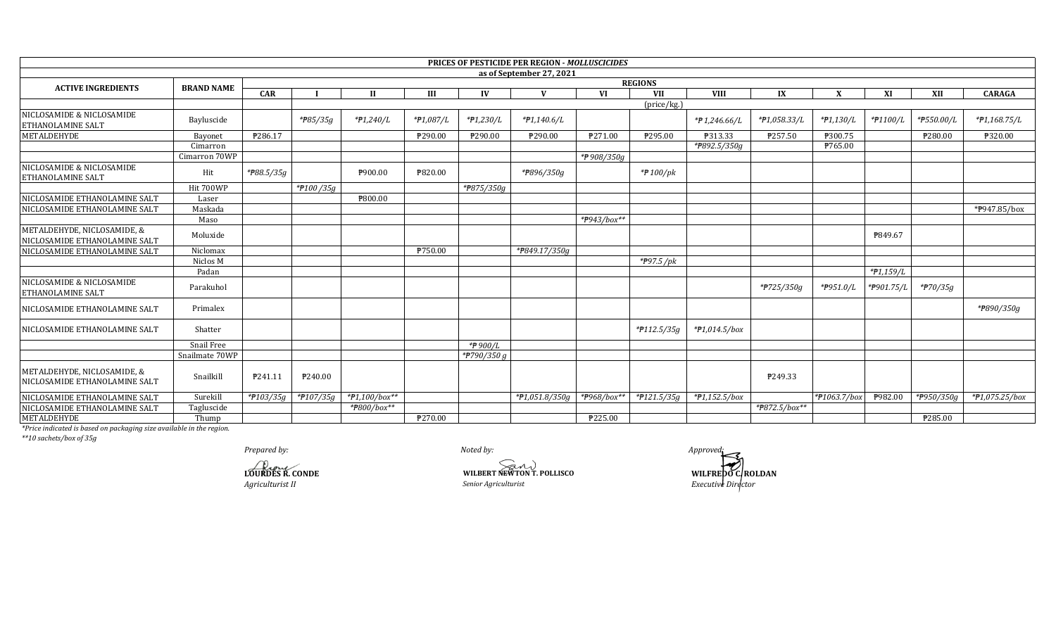|                                                              |                   |            |                       |               |           |             | <b>PRICES OF PESTICIDE PER REGION - MOLLUSCICIDES</b> |             |                      |                 |               |              |             |                         |                  |  |
|--------------------------------------------------------------|-------------------|------------|-----------------------|---------------|-----------|-------------|-------------------------------------------------------|-------------|----------------------|-----------------|---------------|--------------|-------------|-------------------------|------------------|--|
|                                                              |                   |            |                       |               |           |             | as of September 27, 2021                              |             |                      |                 |               |              |             |                         |                  |  |
| <b>ACTIVE INGREDIENTS</b>                                    | <b>BRAND NAME</b> |            | <b>REGIONS</b>        |               |           |             |                                                       |             |                      |                 |               |              |             |                         |                  |  |
|                                                              |                   | <b>CAR</b> |                       | $\mathbf{I}$  | Ш         | IV          | V                                                     | <b>VI</b>   | <b>VII</b>           | <b>VIII</b>     | IX            | X            | XI          | XII                     | <b>CARAGA</b>    |  |
|                                                              |                   |            |                       |               |           |             |                                                       |             | $(\text{price/kg.})$ |                 |               |              |             |                         |                  |  |
| NICLOSAMIDE & NICLOSAMIDE<br><b>ETHANOLAMINE SALT</b>        | Bayluscide        |            | * <del>P</del> 85/35g | $*P1,240/L$   | *#1,087/L | $*P1,230/L$ | $*P1,140.6/L$                                         |             |                      | $*$ #1,246.66/L | *#1,058.33/L  | $*P1,130/L$  | *#1100/L    | *P550.00/L              | $*P1,168.75/L$   |  |
| <b>METALDEHYDE</b>                                           | Bayonet           | ₱286.17    |                       |               | ₱290.00   | P290.00     | ₱290.00                                               | ₱271.00     | ₱295.00              | ₱313.33         | P257.50       | ₱300.75      |             | ₱280.00                 | ₱320.00          |  |
|                                                              | Cimarron          |            |                       |               |           |             |                                                       |             |                      | *P892.5/350g    |               | P765.00      |             |                         |                  |  |
|                                                              | Cimarron 70WP     |            |                       |               |           |             |                                                       | *₱908/350g  |                      |                 |               |              |             |                         |                  |  |
| NICLOSAMIDE & NICLOSAMIDE<br><b>ETHANOLAMINE SALT</b>        | Hit               | *#88.5/35g |                       | ₱900.00       | ₱820.00   |             | *#896/350g                                            |             | * $/$ 100/pk         |                 |               |              |             |                         |                  |  |
|                                                              | Hit 700WP         |            | *#100/35g             |               |           | *#875/350g  |                                                       |             |                      |                 |               |              |             |                         |                  |  |
| NICLOSAMIDE ETHANOLAMINE SALT                                | Laser             |            |                       | ₱800.00       |           |             |                                                       |             |                      |                 |               |              |             |                         |                  |  |
| NICLOSAMIDE ETHANOLAMINE SALT                                | Maskada           |            |                       |               |           |             |                                                       |             |                      |                 |               |              |             |                         | *P947.85/box     |  |
|                                                              | Maso              |            |                       |               |           |             |                                                       | *#943/box** |                      |                 |               |              |             |                         |                  |  |
| METALDEHYDE, NICLOSAMIDE, &<br>NICLOSAMIDE ETHANOLAMINE SALT | Moluxide          |            |                       |               |           |             |                                                       |             |                      |                 |               |              | P849.67     |                         |                  |  |
| NICLOSAMIDE ETHANOLAMINE SALT                                | Niclomax          |            |                       |               | P750.00   |             | *P849.17/350g                                         |             |                      |                 |               |              |             |                         |                  |  |
|                                                              | Niclos M          |            |                       |               |           |             |                                                       |             | * $P97.5$ /pk        |                 |               |              |             |                         |                  |  |
|                                                              | Padan             |            |                       |               |           |             |                                                       |             |                      |                 |               |              | $*P1,159/L$ |                         |                  |  |
| NICLOSAMIDE & NICLOSAMIDE<br>ETHANOLAMINE SALT               | Parakuhol         |            |                       |               |           |             |                                                       |             |                      |                 | *#725/350g    | *P951.0/L    | *#901.75/L  | *#70/35g                |                  |  |
| NICLOSAMIDE ETHANOLAMINE SALT                                | Primalex          |            |                       |               |           |             |                                                       |             |                      |                 |               |              |             |                         | *P890/350g       |  |
| NICLOSAMIDE ETHANOLAMINE SALT                                | Shatter           |            |                       |               |           |             |                                                       |             | *#112.5/35g          | $*P1,014.5/box$ |               |              |             |                         |                  |  |
|                                                              | Snail Free        |            |                       |               |           | *#900/L     |                                                       |             |                      |                 |               |              |             |                         |                  |  |
|                                                              | Snailmate 70WP    |            |                       |               |           | *P790/350 g |                                                       |             |                      |                 |               |              |             |                         |                  |  |
| METALDEHYDE, NICLOSAMIDE, &<br>NICLOSAMIDE ETHANOLAMINE SALT | Snailkill         | P241.11    | P240.00               |               |           |             |                                                       |             |                      |                 | P249.33       |              |             |                         |                  |  |
| NICLOSAMIDE ETHANOLAMINE SALT                                | Surekill          | *#103/35g  | *#107/35g             | *#1,100/box** |           |             | *#1,051.8/350g                                        | *#968/box** | *#121.5/35g          | $*P1,152.5/box$ |               | *#1063.7/box | P982.00     | * <del>P</del> 950/350g | $*P1,075.25/box$ |  |
| NICLOSAMIDE ETHANOLAMINE SALT                                | Tagluscide        |            |                       | *#800/box**   |           |             |                                                       |             |                      |                 | *P872.5/box** |              |             |                         |                  |  |
| METALDEHYDE                                                  | Thump             |            |                       |               | ₱270.00   |             |                                                       | ₱225.00     |                      |                 |               |              |             | ₱285.00                 |                  |  |

 $**10$  sachets/box of 35g

Prepared by: LOURDES R. CONDE Agriculturist II

Noted by: WILBERT NEWTON T. POLLISCO Senior Agriculturist

Approved WILFREDO CROLDAN<br>Executive Director